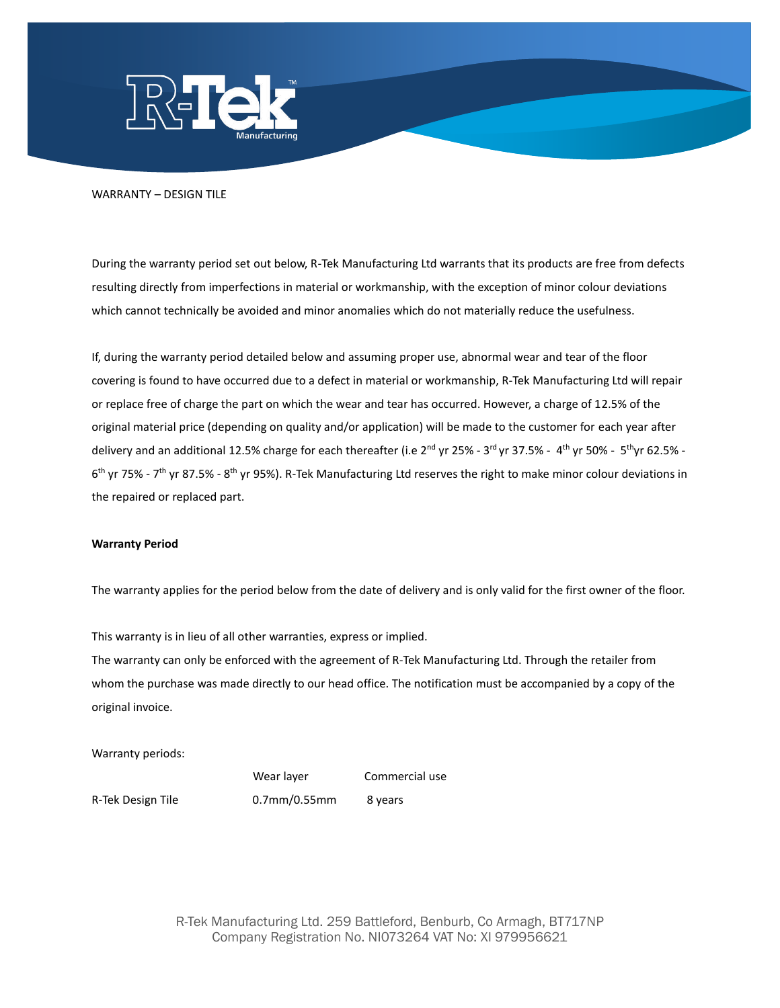

## WARRANTY – DESIGN TILE

During the warranty period set out below, R-Tek Manufacturing Ltd warrants that its products are free from defects resulting directly from imperfections in material or workmanship, with the exception of minor colour deviations which cannot technically be avoided and minor anomalies which do not materially reduce the usefulness.

If, during the warranty period detailed below and assuming proper use, abnormal wear and tear of the floor covering is found to have occurred due to a defect in material or workmanship, R-Tek Manufacturing Ltd will repair or replace free of charge the part on which the wear and tear has occurred. However, a charge of 12.5% of the original material price (depending on quality and/or application) will be made to the customer for each year after delivery and an additional 12.5% charge for each thereafter (i.e 2<sup>nd</sup> yr 25% - 3<sup>rd</sup> yr 37.5% - 4<sup>th</sup> yr 50% - 5<sup>th</sup>yr 62.5% -6<sup>th</sup> yr 75% - 7<sup>th</sup> yr 87.5% - 8<sup>th</sup> yr 95%). R-Tek Manufacturing Ltd reserves the right to make minor colour deviations in the repaired or replaced part.

## **Warranty Period**

The warranty applies for the period below from the date of delivery and is only valid for the first owner of the floor.

This warranty is in lieu of all other warranties, express or implied.

The warranty can only be enforced with the agreement of R-Tek Manufacturing Ltd. Through the retailer from whom the purchase was made directly to our head office. The notification must be accompanied by a copy of the original invoice.

Warranty periods:

Wear layer Commercial use

R-Tek Design Tile 0.7mm/0.55mm 8 years

R-Tek Manufacturing Ltd. 259 Battleford, Benburb, Co Armagh, BT717NP Company Registration No. NI073264 VAT No: XI 979956621